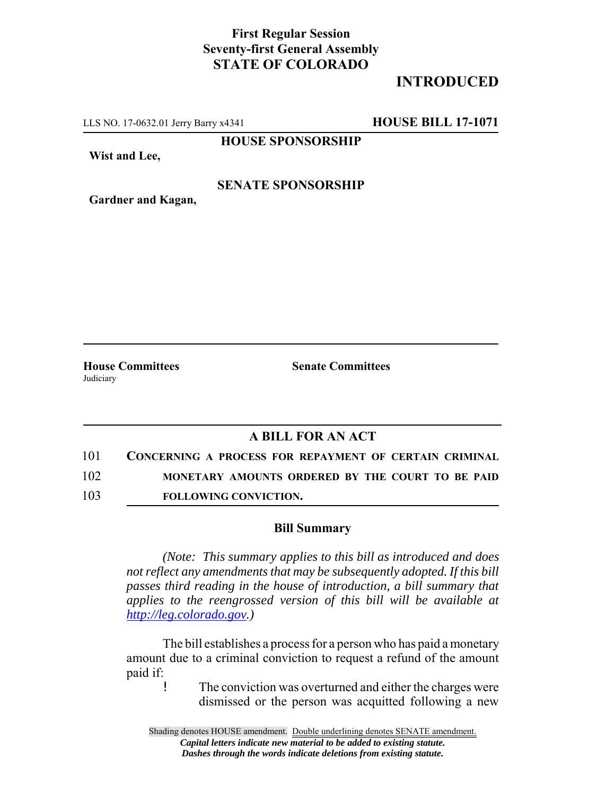## **First Regular Session Seventy-first General Assembly STATE OF COLORADO**

# **INTRODUCED**

LLS NO. 17-0632.01 Jerry Barry x4341 **HOUSE BILL 17-1071**

**HOUSE SPONSORSHIP**

**Wist and Lee,**

#### **SENATE SPONSORSHIP**

**Gardner and Kagan,**

Judiciary

**House Committees Senate Committees**

### **A BILL FOR AN ACT**

101 **CONCERNING A PROCESS FOR REPAYMENT OF CERTAIN CRIMINAL**

102 **MONETARY AMOUNTS ORDERED BY THE COURT TO BE PAID**

103 **FOLLOWING CONVICTION.**

#### **Bill Summary**

*(Note: This summary applies to this bill as introduced and does not reflect any amendments that may be subsequently adopted. If this bill passes third reading in the house of introduction, a bill summary that applies to the reengrossed version of this bill will be available at http://leg.colorado.gov.)*

The bill establishes a process for a person who has paid a monetary amount due to a criminal conviction to request a refund of the amount paid if:

! The conviction was overturned and either the charges were dismissed or the person was acquitted following a new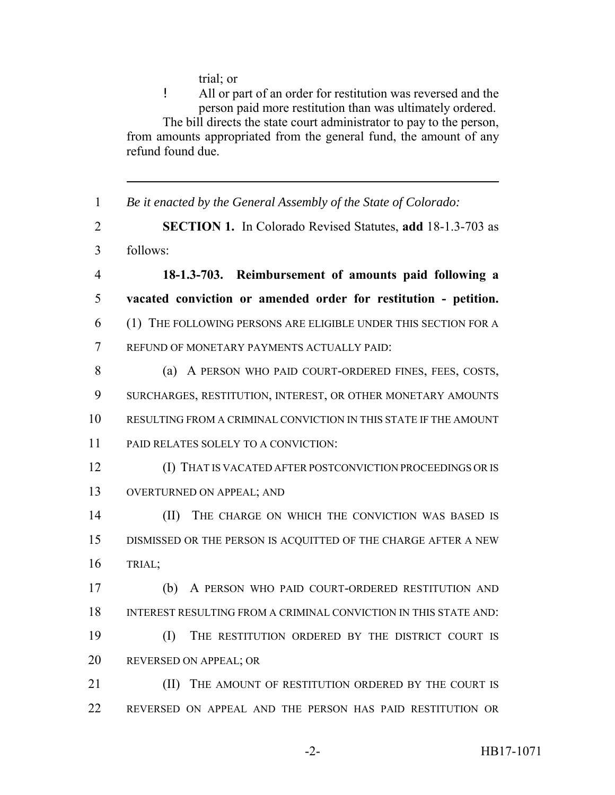trial; or

! All or part of an order for restitution was reversed and the person paid more restitution than was ultimately ordered. The bill directs the state court administrator to pay to the person, from amounts appropriated from the general fund, the amount of any refund found due.

 *Be it enacted by the General Assembly of the State of Colorado:* **SECTION 1.** In Colorado Revised Statutes, **add** 18-1.3-703 as follows: **18-1.3-703. Reimbursement of amounts paid following a vacated conviction or amended order for restitution - petition.** (1) THE FOLLOWING PERSONS ARE ELIGIBLE UNDER THIS SECTION FOR A REFUND OF MONETARY PAYMENTS ACTUALLY PAID: 8 (a) A PERSON WHO PAID COURT-ORDERED FINES, FEES, COSTS, SURCHARGES, RESTITUTION, INTEREST, OR OTHER MONETARY AMOUNTS RESULTING FROM A CRIMINAL CONVICTION IN THIS STATE IF THE AMOUNT PAID RELATES SOLELY TO A CONVICTION: (I) THAT IS VACATED AFTER POSTCONVICTION PROCEEDINGS OR IS OVERTURNED ON APPEAL; AND **(II)** THE CHARGE ON WHICH THE CONVICTION WAS BASED IS DISMISSED OR THE PERSON IS ACQUITTED OF THE CHARGE AFTER A NEW TRIAL; (b) A PERSON WHO PAID COURT-ORDERED RESTITUTION AND INTEREST RESULTING FROM A CRIMINAL CONVICTION IN THIS STATE AND: (I) THE RESTITUTION ORDERED BY THE DISTRICT COURT IS 20 REVERSED ON APPEAL; OR **III)** THE AMOUNT OF RESTITUTION ORDERED BY THE COURT IS REVERSED ON APPEAL AND THE PERSON HAS PAID RESTITUTION OR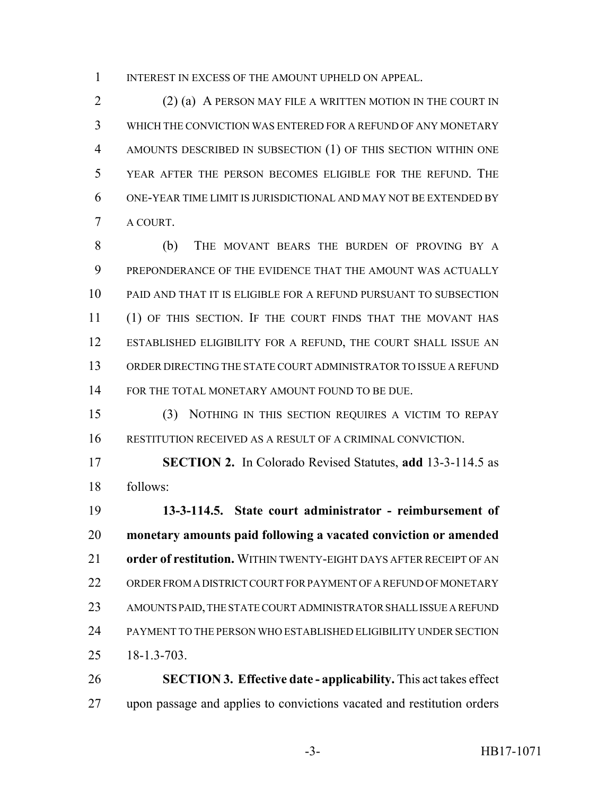1 INTEREST IN EXCESS OF THE AMOUNT UPHELD ON APPEAL.

 (2) (a) A PERSON MAY FILE A WRITTEN MOTION IN THE COURT IN WHICH THE CONVICTION WAS ENTERED FOR A REFUND OF ANY MONETARY AMOUNTS DESCRIBED IN SUBSECTION (1) OF THIS SECTION WITHIN ONE YEAR AFTER THE PERSON BECOMES ELIGIBLE FOR THE REFUND. THE ONE-YEAR TIME LIMIT IS JURISDICTIONAL AND MAY NOT BE EXTENDED BY A COURT.

 (b) THE MOVANT BEARS THE BURDEN OF PROVING BY A PREPONDERANCE OF THE EVIDENCE THAT THE AMOUNT WAS ACTUALLY PAID AND THAT IT IS ELIGIBLE FOR A REFUND PURSUANT TO SUBSECTION (1) OF THIS SECTION. IF THE COURT FINDS THAT THE MOVANT HAS ESTABLISHED ELIGIBILITY FOR A REFUND, THE COURT SHALL ISSUE AN ORDER DIRECTING THE STATE COURT ADMINISTRATOR TO ISSUE A REFUND 14 FOR THE TOTAL MONETARY AMOUNT FOUND TO BE DUE.

 (3) NOTHING IN THIS SECTION REQUIRES A VICTIM TO REPAY RESTITUTION RECEIVED AS A RESULT OF A CRIMINAL CONVICTION.

 **SECTION 2.** In Colorado Revised Statutes, **add** 13-3-114.5 as follows:

 **13-3-114.5. State court administrator - reimbursement of monetary amounts paid following a vacated conviction or amended order of restitution.** WITHIN TWENTY-EIGHT DAYS AFTER RECEIPT OF AN ORDER FROM A DISTRICT COURT FOR PAYMENT OF A REFUND OF MONETARY AMOUNTS PAID, THE STATE COURT ADMINISTRATOR SHALL ISSUE A REFUND PAYMENT TO THE PERSON WHO ESTABLISHED ELIGIBILITY UNDER SECTION 18-1.3-703.

 **SECTION 3. Effective date - applicability.** This act takes effect upon passage and applies to convictions vacated and restitution orders